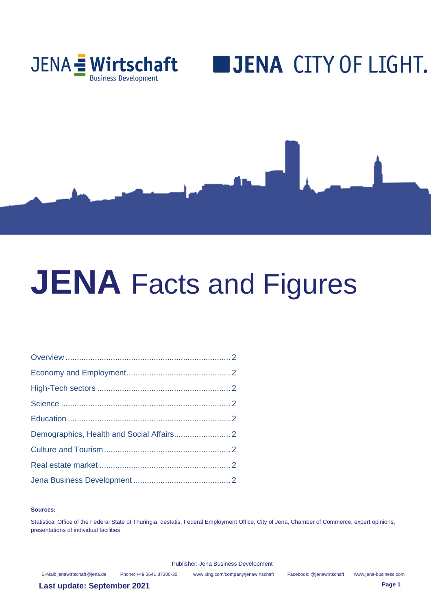

# **BJENA CITY OF LIGHT.**



#### **Sources:**

Statistical Office of the Federal State of Thuringia, destatis, Federal Employment Office, City of Jena, Chamber of Commerce, expert opinions, presentations of individual facilities

Publisher: Jena Business Development

E-Mail[: jenawirtschaft@jena.de](mailto:jenawirtschaft@jena.de) Phone: +49 3641 87300-30 [www.xing.com/company/jenawirtschaft](http://www.xing.com/company/jenawirtschaft) Facebook: @jenawirtschaft www.jena-business.com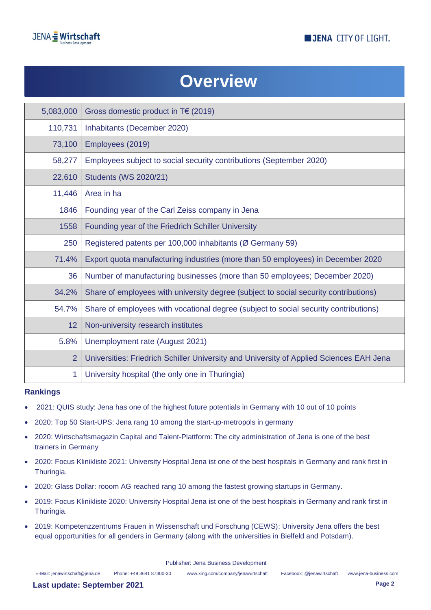



## **Overview**

| 5,083,000      | Gross domestic product in $T \in (2019)$                                                |
|----------------|-----------------------------------------------------------------------------------------|
| 110,731        | Inhabitants (December 2020)                                                             |
| 73,100         | Employees (2019)                                                                        |
| 58,277         | Employees subject to social security contributions (September 2020)                     |
| 22,610         | <b>Students (WS 2020/21)</b>                                                            |
| 11,446         | Area in ha                                                                              |
| 1846           | Founding year of the Carl Zeiss company in Jena                                         |
| 1558           | Founding year of the Friedrich Schiller University                                      |
| 250            | Registered patents per 100,000 inhabitants (Ø Germany 59)                               |
| 71.4%          | Export quota manufacturing industries (more than 50 employees) in December 2020         |
| 36             | Number of manufacturing businesses (more than 50 employees; December 2020)              |
| 34.2%          | Share of employees with university degree (subject to social security contributions)    |
| 54.7%          | Share of employees with vocational degree (subject to social security contributions)    |
| 12             | Non-university research institutes                                                      |
| 5.8%           | Unemployment rate (August 2021)                                                         |
| $\overline{2}$ | Universities: Friedrich Schiller University and University of Applied Sciences EAH Jena |
| 1              | University hospital (the only one in Thuringia)                                         |

#### **Rankings**

- 2021: QUIS study: Jena has one of the highest future potentials in Germany with 10 out of 10 points
- 2020: Top 50 Start-UPS: Jena rang 10 among the start-up-metropols in germany
- 2020: Wirtschaftsmagazin Capital and Talent-Plattform: The city administration of Jena is one of the best trainers in Germany
- 2020: Focus Klinikliste 2021: University Hospital Jena ist one of the best hospitals in Germany and rank first in Thuringia.
- 2020: Glass Dollar: rooom AG reached rang 10 among the fastest growing startups in Germany.
- 2019: Focus Klinikliste 2020: University Hospital Jena ist one of the best hospitals in Germany and rank first in Thuringia.
- 2019: Kompetenzzentrums Frauen in Wissenschaft und Forschung (CEWS): University Jena offers the best equal opportunities for all genders in Germany (along with the universities in Bielfeld and Potsdam).

Publisher: Jena Business Development

E-Mail[: jenawirtschaft@jena.de](mailto:jenawirtschaft@jena.de) Phone: +49 3641 87300-30 [www.xing.com/company/jenawirtschaft](http://www.xing.com/company/jenawirtschaft) Facebook: @jenawirtschaft www.jena-business.com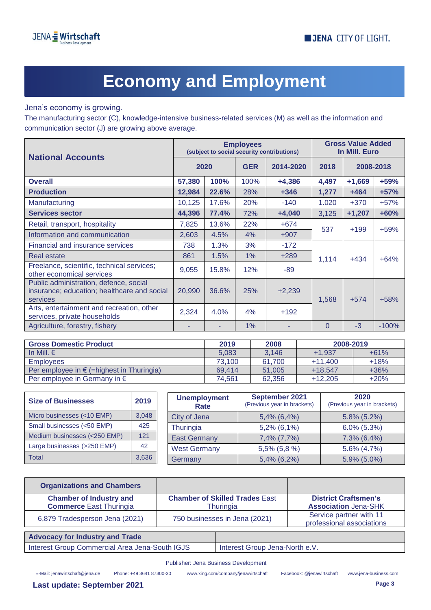

# **Economy and Employment**

Jena's economy is growing.

The manufacturing sector (C), knowledge-intensive business-related services (M) as well as the information and communication sector (J) are growing above average.

| <b>National Accounts</b>                                                                          | <b>Employees</b><br>(subject to social security contributions) |       |                         |          | <b>Gross Value Added</b><br>In Mill. Euro |          |         |
|---------------------------------------------------------------------------------------------------|----------------------------------------------------------------|-------|-------------------------|----------|-------------------------------------------|----------|---------|
|                                                                                                   | 2020                                                           |       | <b>GER</b><br>2014-2020 |          | 2018<br>2008-2018                         |          |         |
| <b>Overall</b>                                                                                    | 57,380                                                         | 100%  | 100%                    | $+4,386$ | 4,497                                     | $+1,669$ | $+59%$  |
| <b>Production</b>                                                                                 | 12,984                                                         | 22.6% | 28%                     | $+346$   | 1,277                                     | $+464$   | $+57%$  |
| Manufacturing                                                                                     | 10,125                                                         | 17.6% | 20%                     | $-140$   | 1.020                                     | $+370$   | $+57%$  |
| <b>Services sector</b>                                                                            | 44,396                                                         | 77.4% | 72%                     | $+4,040$ | 3,125                                     | $+1,207$ | $+60%$  |
| Retail, transport, hospitality                                                                    | 7,825                                                          | 13.6% | 22%                     | $+674$   | 537                                       | $+199$   | $+59%$  |
| Information and communication                                                                     | 2,603                                                          | 4.5%  | 4%                      | $+907$   |                                           |          |         |
| Financial and insurance services                                                                  | 738                                                            | 1.3%  | 3%                      | $-172$   |                                           |          |         |
| Real estate                                                                                       | 861                                                            | 1.5%  | 1%                      | $+289$   | 1,114                                     | $+434$   | $+64%$  |
| Freelance, scientific, technical services;<br>other economical services                           | 9,055                                                          | 15.8% | 12%                     | -89      |                                           |          |         |
| Public administration, defence, social<br>insurance; education; healthcare and social<br>services | 20,990                                                         | 36.6% | 25%                     | $+2,239$ | 1,568                                     | $+574$   | $+58%$  |
| Arts, entertainment and recreation, other<br>services, private households                         | 2,324                                                          | 4.0%  | 4%                      | $+192$   |                                           |          |         |
| Agriculture, forestry, fishery                                                                    |                                                                |       | 1%                      |          | $\Omega$                                  | $-3$     | $-100%$ |

| <b>Gross Domestic Product</b>                      | 2019   | 2008   | 2008-2019 |        |
|----------------------------------------------------|--------|--------|-----------|--------|
| In Mill. $\epsilon$                                | 5.083  | 3.146  | $+1.937$  | $+61%$ |
| <b>Employees</b>                                   | 73.100 | 61.700 | $+11.400$ | $+18%$ |
| Per employee in $\epsilon$ (=highest in Thuringia) | 69.414 | 51.005 | $+18.547$ | $+36%$ |
| Per employee in Germany in $\epsilon$              | 74.561 | 62.356 | $+12.205$ | $+20%$ |

| <b>Size of Businesses</b>    | 2019  | <b>Unemployment</b><br>Rate | September 2021<br>(Previous year in brackets) | 2020<br>(Previous year in brackets) |
|------------------------------|-------|-----------------------------|-----------------------------------------------|-------------------------------------|
| Micro businesses (<10 EMP)   | 3,048 | City of Jena                | $5,4\%$ (6,4%)                                | $5.8\%$ (5.2%)                      |
| Small businesses (<50 EMP)   | 425   | Thuringia                   | 5,2% (6,1%)                                   | $6.0\%$ $(5.3\%)$                   |
| Medium businesses (<250 EMP) | 121   | <b>East Germany</b>         | 7,4% (7,7%)                                   | $7.3\%$ (6.4%)                      |
| Large businesses (>250 EMP)  | 42    | <b>West Germany</b>         | 5,5% (5,8 %)                                  | $5.6\%$ (4.7%)                      |
| Total                        | 3,636 | Germany                     | 5,4% (6,2%)                                   | $5.9\%$ (5.0%)                      |

| <b>Organizations and Chambers</b>                                |                                                    |                                                            |
|------------------------------------------------------------------|----------------------------------------------------|------------------------------------------------------------|
| <b>Chamber of Industry and</b><br><b>Commerce East Thuringia</b> | <b>Chamber of Skilled Trades East</b><br>Thuringia | <b>District Craftsmen's</b><br><b>Association Jena-SHK</b> |
| 6,879 Tradesperson Jena (2021)                                   | 750 businesses in Jena (2021)                      | Service partner with 11<br>professional associations       |
|                                                                  |                                                    |                                                            |

| <b>Advocacy for Industry and Trade</b>         |                                |
|------------------------------------------------|--------------------------------|
| Interest Group Commercial Area Jena-South IGJS | Interest Group Jena-North e.V. |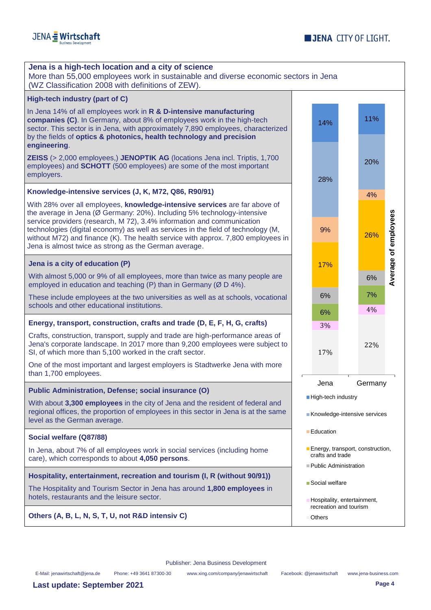

| High-tech industry (part of C)<br>In Jena 14% of all employees work in R & D-intensive manufacturing<br>companies (C). In Germany, about 8% of employees work in the high-tech<br>sector. This sector is in Jena, with approximately 7,890 employees, characterized<br>by the fields of optics & photonics, health technology and precision<br>engineering.<br><b>ZEISS</b> (> 2,000 employees,) JENOPTIK AG (locations Jena incl. Triptis, 1,700<br>employees) and <b>SCHOTT</b> (500 employees) are some of the most important<br>employers.<br>Knowledge-intensive services (J, K, M72, Q86, R90/91)<br>With 28% over all employees, knowledge-intensive services are far above of<br>the average in Jena (Ø Germany: 20%). Including 5% technology-intensive<br>service providers (research, M 72), 3.4% information and communication<br>technologies (digital economy) as well as services in the field of technology (M,<br>without M72) and finance (K). The health service with approx. 7,800 employees in<br>Jena is almost twice as strong as the German average.<br>Jena is a city of education (P)<br>With almost 5,000 or 9% of all employees, more than twice as many people are<br>employed in education and teaching (P) than in Germany ( $\varnothing$ D 4%).<br>These include employees at the two universities as well as at schools, vocational<br>schools and other educational institutions.<br>Energy, transport, construction, crafts and trade (D, E, F, H, G, crafts)<br>Crafts, construction, transport, supply and trade are high-performance areas of<br>Jena's corporate landscape. In 2017 more than 9,200 employees were subject to<br>SI, of which more than 5,100 worked in the craft sector.<br>One of the most important and largest employers is Stadtwerke Jena with more<br>than 1,700 employees.<br>Public Administration, Defense; social insurance (O)<br>With about 3,300 employees in the city of Jena and the resident of federal and<br>regional offices, the proportion of employees in this sector in Jena is at the same | 14%<br>28%<br>9%<br>17%<br>6%                                                 | 11%<br>20%<br>4%<br>26%<br>6%<br>7%<br>4% | Average of employees |
|-----------------------------------------------------------------------------------------------------------------------------------------------------------------------------------------------------------------------------------------------------------------------------------------------------------------------------------------------------------------------------------------------------------------------------------------------------------------------------------------------------------------------------------------------------------------------------------------------------------------------------------------------------------------------------------------------------------------------------------------------------------------------------------------------------------------------------------------------------------------------------------------------------------------------------------------------------------------------------------------------------------------------------------------------------------------------------------------------------------------------------------------------------------------------------------------------------------------------------------------------------------------------------------------------------------------------------------------------------------------------------------------------------------------------------------------------------------------------------------------------------------------------------------------------------------------------------------------------------------------------------------------------------------------------------------------------------------------------------------------------------------------------------------------------------------------------------------------------------------------------------------------------------------------------------------------------------------------------------------------------------------------------------------------------------------------------------|-------------------------------------------------------------------------------|-------------------------------------------|----------------------|
|                                                                                                                                                                                                                                                                                                                                                                                                                                                                                                                                                                                                                                                                                                                                                                                                                                                                                                                                                                                                                                                                                                                                                                                                                                                                                                                                                                                                                                                                                                                                                                                                                                                                                                                                                                                                                                                                                                                                                                                                                                                                             |                                                                               |                                           |                      |
|                                                                                                                                                                                                                                                                                                                                                                                                                                                                                                                                                                                                                                                                                                                                                                                                                                                                                                                                                                                                                                                                                                                                                                                                                                                                                                                                                                                                                                                                                                                                                                                                                                                                                                                                                                                                                                                                                                                                                                                                                                                                             |                                                                               |                                           |                      |
|                                                                                                                                                                                                                                                                                                                                                                                                                                                                                                                                                                                                                                                                                                                                                                                                                                                                                                                                                                                                                                                                                                                                                                                                                                                                                                                                                                                                                                                                                                                                                                                                                                                                                                                                                                                                                                                                                                                                                                                                                                                                             |                                                                               |                                           |                      |
|                                                                                                                                                                                                                                                                                                                                                                                                                                                                                                                                                                                                                                                                                                                                                                                                                                                                                                                                                                                                                                                                                                                                                                                                                                                                                                                                                                                                                                                                                                                                                                                                                                                                                                                                                                                                                                                                                                                                                                                                                                                                             |                                                                               |                                           |                      |
|                                                                                                                                                                                                                                                                                                                                                                                                                                                                                                                                                                                                                                                                                                                                                                                                                                                                                                                                                                                                                                                                                                                                                                                                                                                                                                                                                                                                                                                                                                                                                                                                                                                                                                                                                                                                                                                                                                                                                                                                                                                                             |                                                                               |                                           |                      |
|                                                                                                                                                                                                                                                                                                                                                                                                                                                                                                                                                                                                                                                                                                                                                                                                                                                                                                                                                                                                                                                                                                                                                                                                                                                                                                                                                                                                                                                                                                                                                                                                                                                                                                                                                                                                                                                                                                                                                                                                                                                                             |                                                                               |                                           |                      |
|                                                                                                                                                                                                                                                                                                                                                                                                                                                                                                                                                                                                                                                                                                                                                                                                                                                                                                                                                                                                                                                                                                                                                                                                                                                                                                                                                                                                                                                                                                                                                                                                                                                                                                                                                                                                                                                                                                                                                                                                                                                                             |                                                                               |                                           |                      |
|                                                                                                                                                                                                                                                                                                                                                                                                                                                                                                                                                                                                                                                                                                                                                                                                                                                                                                                                                                                                                                                                                                                                                                                                                                                                                                                                                                                                                                                                                                                                                                                                                                                                                                                                                                                                                                                                                                                                                                                                                                                                             |                                                                               |                                           |                      |
|                                                                                                                                                                                                                                                                                                                                                                                                                                                                                                                                                                                                                                                                                                                                                                                                                                                                                                                                                                                                                                                                                                                                                                                                                                                                                                                                                                                                                                                                                                                                                                                                                                                                                                                                                                                                                                                                                                                                                                                                                                                                             | 6%                                                                            |                                           |                      |
|                                                                                                                                                                                                                                                                                                                                                                                                                                                                                                                                                                                                                                                                                                                                                                                                                                                                                                                                                                                                                                                                                                                                                                                                                                                                                                                                                                                                                                                                                                                                                                                                                                                                                                                                                                                                                                                                                                                                                                                                                                                                             | 3%                                                                            |                                           |                      |
|                                                                                                                                                                                                                                                                                                                                                                                                                                                                                                                                                                                                                                                                                                                                                                                                                                                                                                                                                                                                                                                                                                                                                                                                                                                                                                                                                                                                                                                                                                                                                                                                                                                                                                                                                                                                                                                                                                                                                                                                                                                                             | 17%                                                                           | 22%                                       |                      |
|                                                                                                                                                                                                                                                                                                                                                                                                                                                                                                                                                                                                                                                                                                                                                                                                                                                                                                                                                                                                                                                                                                                                                                                                                                                                                                                                                                                                                                                                                                                                                                                                                                                                                                                                                                                                                                                                                                                                                                                                                                                                             |                                                                               |                                           |                      |
|                                                                                                                                                                                                                                                                                                                                                                                                                                                                                                                                                                                                                                                                                                                                                                                                                                                                                                                                                                                                                                                                                                                                                                                                                                                                                                                                                                                                                                                                                                                                                                                                                                                                                                                                                                                                                                                                                                                                                                                                                                                                             | Jena                                                                          | Germany                                   |                      |
| level as the German average.                                                                                                                                                                                                                                                                                                                                                                                                                                                                                                                                                                                                                                                                                                                                                                                                                                                                                                                                                                                                                                                                                                                                                                                                                                                                                                                                                                                                                                                                                                                                                                                                                                                                                                                                                                                                                                                                                                                                                                                                                                                | High-tech industry<br>Knowledge-intensive services                            |                                           |                      |
| Social welfare (Q87/88)                                                                                                                                                                                                                                                                                                                                                                                                                                                                                                                                                                                                                                                                                                                                                                                                                                                                                                                                                                                                                                                                                                                                                                                                                                                                                                                                                                                                                                                                                                                                                                                                                                                                                                                                                                                                                                                                                                                                                                                                                                                     | <b>Education</b>                                                              |                                           |                      |
| In Jena, about 7% of all employees work in social services (including home<br>care), which corresponds to about 4,050 persons.                                                                                                                                                                                                                                                                                                                                                                                                                                                                                                                                                                                                                                                                                                                                                                                                                                                                                                                                                                                                                                                                                                                                                                                                                                                                                                                                                                                                                                                                                                                                                                                                                                                                                                                                                                                                                                                                                                                                              | Energy, transport, construction,<br>crafts and trade<br>Public Administration |                                           |                      |
| Hospitality, entertainment, recreation and tourism (I, R (without 90/91))                                                                                                                                                                                                                                                                                                                                                                                                                                                                                                                                                                                                                                                                                                                                                                                                                                                                                                                                                                                                                                                                                                                                                                                                                                                                                                                                                                                                                                                                                                                                                                                                                                                                                                                                                                                                                                                                                                                                                                                                   |                                                                               |                                           |                      |
| The Hospitality and Tourism Sector in Jena has around 1,800 employees in<br>hotels, restaurants and the leisure sector.                                                                                                                                                                                                                                                                                                                                                                                                                                                                                                                                                                                                                                                                                                                                                                                                                                                                                                                                                                                                                                                                                                                                                                                                                                                                                                                                                                                                                                                                                                                                                                                                                                                                                                                                                                                                                                                                                                                                                     | ■ Social welfare                                                              |                                           |                      |
| Others (A, B, L, N, S, T, U, not R&D intensiv C)<br>Others                                                                                                                                                                                                                                                                                                                                                                                                                                                                                                                                                                                                                                                                                                                                                                                                                                                                                                                                                                                                                                                                                                                                                                                                                                                                                                                                                                                                                                                                                                                                                                                                                                                                                                                                                                                                                                                                                                                                                                                                                  | Hospitality, entertainment,                                                   | recreation and tourism                    |                      |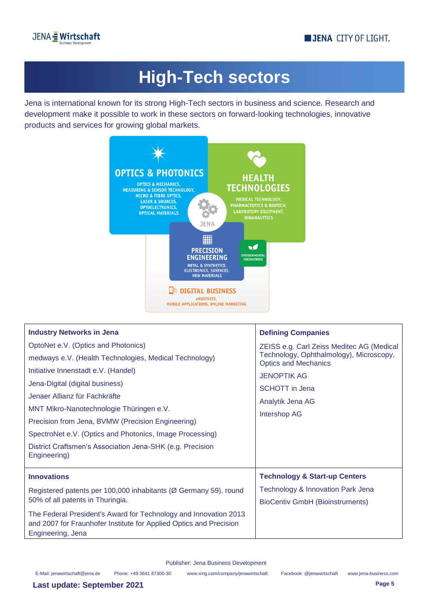

## **High-Tech sectors**

Jena is international known for its strong High-Tech sectors in business and science. Research and development make it possible to work in these sectors on forward-looking technologies, innovative products and services for growing global markets.



| <b>Industry Networks in Jena</b>                                                                                                                            | <b>Defining Companies</b>                                              |
|-------------------------------------------------------------------------------------------------------------------------------------------------------------|------------------------------------------------------------------------|
| OptoNet e.V. (Optics and Photonics)                                                                                                                         | ZEISS e.g. Carl Zeiss Meditec AG (Medical                              |
| medways e.V. (Health Technologies, Medical Technology)                                                                                                      | Technology, Ophthalmology), Microscopy,<br><b>Optics and Mechanics</b> |
| Initiative Innenstadt e.V. (Handel)                                                                                                                         | <b>JENOPTIK AG</b>                                                     |
| Jena-Digital (digital business)                                                                                                                             | <b>SCHOTT</b> in Jena                                                  |
| Jenaer Allianz für Fachkräfte                                                                                                                               | Analytik Jena AG                                                       |
| MNT Mikro-Nanotechnologie Thüringen e.V.                                                                                                                    | <b>Intershop AG</b>                                                    |
| Precision from Jena, BVMW (Precision Engineering)                                                                                                           |                                                                        |
| SpectroNet e.V. (Optics and Photonics, Image Processing)                                                                                                    |                                                                        |
| District Craftsmen's Association Jena-SHK (e.g. Precision<br>Engineering)                                                                                   |                                                                        |
| <b>Innovations</b>                                                                                                                                          | <b>Technology &amp; Start-up Centers</b>                               |
| Registered patents per 100,000 inhabitants (Ø Germany 59), round                                                                                            | Technology & Innovation Park Jena                                      |
| 50% of all patents in Thuringia.                                                                                                                            | <b>BioCentiv GmbH (Bioinstruments)</b>                                 |
| The Federal President's Award for Technology and Innovation 2013<br>and 2007 for Fraunhofer Institute for Applied Optics and Precision<br>Engineering, Jena |                                                                        |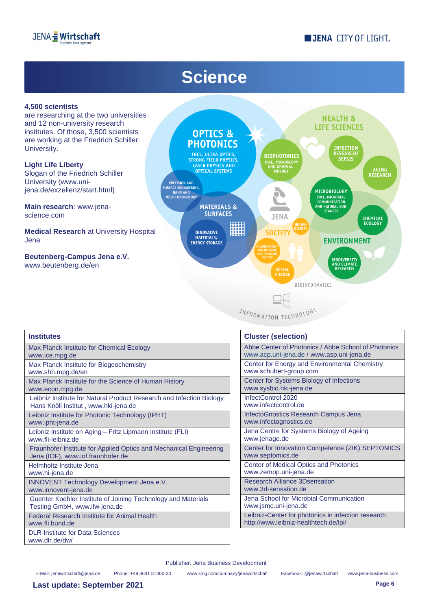

### **JENA CITY OF LIGHT.**

### **Science**



are researching at the two universities and 12 non-university research institutes. Of those, 3,500 scientists are working at the Friedrich Schiller University.

**Light Life Liberty** Slogan of the Friedrich Schiller University (www.unijena.de/exzellenz/start.html)

**Main research**: www.jenascience.com

**Medical Research** at University Hospital Jena

**Beutenberg-Campus Jena e.V.**  [www.beutenberg.de/en](http://www.beutenberg.de/en)



INFORMATION TECHNOLOGY

| <b>Institutes</b>                                                    | <b>Cluster (selection)</b>   |
|----------------------------------------------------------------------|------------------------------|
| Max Planck Institute for Chemical Ecology                            | Abbe Center of Photo         |
| www.ice.mpg.de                                                       | www.acp.uni-jena.de          |
| Max Planck Institute for Biogeochemistry                             | Center for Energy and        |
| www.shh.mpg.de/en                                                    | www.schubert-group.o         |
| Max Planck Institute for the Science of Human History                | <b>Center for Systems Bi</b> |
| www.econ.mpg.de                                                      | www.sysbio.hki-jena.c        |
| Leibniz Institute for Natural Product Research and Infection Biology | InfectControl 2020           |
| Hans Knöll Institut, www.hki-jena.de                                 | www.infectcontrol.de         |
| Leibniz Institute for Photonic Technology (IPHT)                     | <b>InfectoGnostics Resea</b> |
| www.ipht-jena.de                                                     | www.infectognostics.c        |
| Leibniz Institute on Aging - Fritz Lipmann Institute (FLI)           | Jena Centre for Syste        |
| www.fli-leibniz.de                                                   | www.jenage.de                |
| Fraunhofer Institute for Applied Optics and Mechanical Engineering   | Center for Innovation        |
| Jena (IOF), www.iof.fraunhofer.de                                    | www.septomics.de             |
| Helmholtz Institute Jena                                             | <b>Center of Medical Opt</b> |
| www.hi-jena.de                                                       | www.zemop.uni-jena.          |
| <b>INNOVENT Technology Development Jena e.V.</b>                     | <b>Research Alliance 3D</b>  |
| www.innovent-jena.de                                                 | www.3d-sensation.de          |
| Guenter Koehler Institute of Joining Technology and Materials        | Jena School for Micro        |
| Testing GmbH, www.ifw-jena.de                                        | www.jsmc.uni-jena.de         |
| <b>Federal Research Institute for Animal Health</b>                  | Leibniz-Center for pho       |
| www.fli.bund.de                                                      | http://www.leibniz-hea       |
| <b>DLR-Institute for Data Sciences</b><br>www.dlr.de/dw/             |                              |

| <b>Cluster (selection)</b>                                                                       |
|--------------------------------------------------------------------------------------------------|
| Abbe Center of Photonics / Abbe School of Photonics<br>www.acp.uni-jena.de / www.asp.uni-jena.de |
| Center for Energy and Environmental Chemistry<br>www.schubert-group.com                          |
| Center for Systems Biology of Infections<br>www.sysbio.hki-jena.de                               |
| InfectControl 2020<br>www.infectcontrol.de                                                       |
| InfectoGnostics Research Campus Jena<br>www.infectognostics.de                                   |
| Jena Centre for Systems Biology of Ageing<br>www.jenage.de                                       |
| Center for Innovation Competence (ZIK) SEPTOMICS<br>www.septomics.de                             |
| <b>Center of Medical Optics and Photonics</b><br>www.zemop.uni-jena.de                           |
| <b>Research Alliance 3D sensation</b><br>www.3d-sensation.de                                     |
| Jena School for Microbial Communication<br>www.jsmc.uni-jena.de                                  |
| Leibniz-Center for photonics in infection research<br>http://www.leibniz-healthtech.de/lpi/      |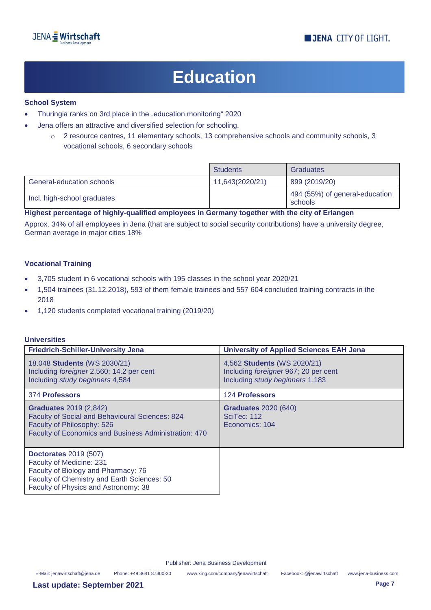## **Education**

#### **School System**

- Thuringia ranks on 3rd place in the "education monitoring" 2020
- Jena offers an attractive and diversified selection for schooling.
	- o 2 resource centres, 11 elementary schools, 13 comprehensive schools and community schools, 3 vocational schools, 6 secondary schools

|                             | <b>Students</b> | <b>Graduates</b>                          |
|-----------------------------|-----------------|-------------------------------------------|
| General-education schools   | 11,643(2020/21) | 899 (2019/20)                             |
| Incl. high-school graduates |                 | 494 (55%) of general-education<br>schools |

**Highest percentage of highly-qualified employees in Germany together with the city of Erlangen**

Approx. 34% of all employees in Jena (that are subject to social security contributions) have a university degree, German average in major cities 18%

#### **Vocational Training**

- 3,705 student in 6 vocational schools with 195 classes in the school year 2020/21
- 1,504 trainees (31.12.2018), 593 of them female trainees and 557 604 concluded training contracts in the 2018
- 1,120 students completed vocational training (2019/20)

#### **Universities**

| <b>Friedrich-Schiller-University Jena</b>                                                                                                                                              | <b>University of Applied Sciences EAH Jena</b>                                                         |
|----------------------------------------------------------------------------------------------------------------------------------------------------------------------------------------|--------------------------------------------------------------------------------------------------------|
| 18.048 Students (WS 2030/21)<br>Including foreigner 2,560; 14.2 per cent<br>Including study beginners 4,584                                                                            | 4,562 Students (WS 2020/21)<br>Including foreigner 967; 20 per cent<br>Including study beginners 1,183 |
| 374 Professors                                                                                                                                                                         | 124 Professors                                                                                         |
| <b>Graduates</b> 2019 (2,842)<br>Faculty of Social and Behavioural Sciences: 824<br>Faculty of Philosophy: 526<br><b>Faculty of Economics and Business Administration: 470</b>         | <b>Graduates</b> 2020 (640)<br>SciTec: 112<br>Economics: 104                                           |
| <b>Doctorates 2019 (507)</b><br>Faculty of Medicine: 231<br>Faculty of Biology and Pharmacy: 76<br>Faculty of Chemistry and Earth Sciences: 50<br>Faculty of Physics and Astronomy: 38 |                                                                                                        |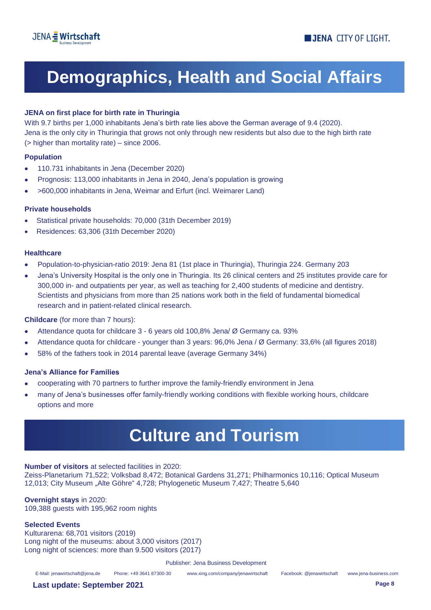## **Demographics, Health and Social Affairs**

#### **JENA on first place for birth rate in Thuringia**

With 9.7 births per 1,000 inhabitants Jena's birth rate lies above the German average of 9.4 (2020). Jena is the only city in Thuringia that grows not only through new residents but also due to the high birth rate (> higher than mortality rate) – since 2006.

#### **Population**

- 110.731 inhabitants in Jena (December 2020)
- Prognosis: 113,000 inhabitants in Jena in 2040, Jena's population is growing
- >600,000 inhabitants in Jena, Weimar and Erfurt (incl. Weimarer Land)

#### **Private households**

- Statistical private households: 70,000 (31th December 2019)
- Residences: 63,306 (31th December 2020)

#### **Healthcare**

- Population-to-physician-ratio 2019: Jena 81 (1st place in Thuringia), Thuringia 224. Germany 203
- Jena's University Hospital is the only one in Thuringia. Its 26 clinical centers and 25 institutes provide care for 300,000 in- and outpatients per year, as well as teaching for 2,400 students of medicine and dentistry. Scientists and physicians from more than 25 nations work both in the field of fundamental biomedical research and in patient-related clinical research.

#### **Childcare** (for more than 7 hours):

- Attendance quota for childcare 3 6 years old 100,8% Jena/ Ø Germany ca. 93%
- Attendance quota for childcare younger than 3 years: 96,0% Jena / Ø Germany: 33,6% (all figures 2018)
- 58% of the fathers took in 2014 parental leave (average Germany 34%)

#### **Jena's Alliance for Families**

- cooperating with 70 partners to further improve the family-friendly environment in Jena
- many of Jena's businesses offer family-friendly working conditions with flexible working hours, childcare options and more

### **Culture and Tourism**

**Number of visitors** at selected facilities in 2020:

Zeiss-Planetarium 71,522; Volksbad 8,472; Botanical Gardens 31,271; Philharmonics 10,116; Optical Museum 12,013; City Museum "Alte Göhre" 4,728; Phylogenetic Museum 7,427; Theatre 5,640

#### **Overnight stays** in 2020: 109,388 guests with 195,962 room nights

#### **Selected Events**

Kulturarena: 68,701 visitors (2019) Long night of the museums: about 3,000 visitors (2017) Long night of sciences: more than 9.500 visitors (2017)

Publisher: Jena Business Development

E-Mail[: jenawirtschaft@jena.de](mailto:jenawirtschaft@jena.de) Phone: +49 3641 87300-30 [www.xing.com/company/jenawirtschaft](http://www.xing.com/company/jenawirtschaft) Facebook: @jenawirtschaft www.jena-business.com

**Last update: September 2021 Page 8**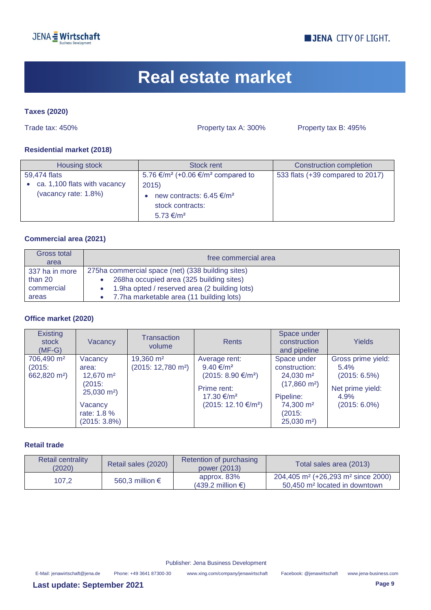

### **JENA CITY OF LIGHT.**

### **Real estate market**

#### **Taxes (2020)**

Trade tax: 450% Property tax A: 300% Property tax B: 495%

#### **Residential market (2018)**

| Housing stock                                                        | <b>Stock rent</b>                                                                                                                                      | <b>Construction completion</b>   |
|----------------------------------------------------------------------|--------------------------------------------------------------------------------------------------------------------------------------------------------|----------------------------------|
| 59.474 flats<br>ca. 1,100 flats with vacancy<br>(vacancy rate: 1.8%) | 5.76 €/m <sup>2</sup> (+0.06 €/m <sup>2</sup> compared to<br>2015<br>new contracts: 6.45 €/m <sup>2</sup><br>stock contracts:<br>5.73 €/m <sup>2</sup> | 533 flats (+39 compared to 2017) |

#### **Commercial area (2021)**

| Gross total<br>area | free commercial area                              |
|---------------------|---------------------------------------------------|
| 337 ha in more      | 275ha commercial space (net) (338 building sites) |
| than 20             | 268ha occupied area (325 building sites)          |
| commercial          | 1.9ha opted / reserved area (2 building lots)     |
| areas               | 7.7ha marketable area (11 building lots)          |

#### **Office market (2020)**

| <b>Existing</b><br>stock<br>$(MF-G)$                         | Vacancy                                                                                                                 | Transaction<br>volume                                 | <b>Rents</b>                                                                                                                                 | Space under<br>construction<br>and pipeline                                                                                                            | <b>Yields</b>                                                                                   |
|--------------------------------------------------------------|-------------------------------------------------------------------------------------------------------------------------|-------------------------------------------------------|----------------------------------------------------------------------------------------------------------------------------------------------|--------------------------------------------------------------------------------------------------------------------------------------------------------|-------------------------------------------------------------------------------------------------|
| 706,490 m <sup>2</sup><br>(2015)<br>662,820 m <sup>2</sup> ) | Vacancy<br>area:<br>12,670 m <sup>2</sup><br>(2015)<br>$25,030 \text{ m}^2$<br>Vacancy<br>rate: 1.8 %<br>$(2015:3.8\%)$ | 19,360 m <sup>2</sup><br>$(2015: 12,780 \text{ m}^2)$ | Average rent:<br>9.40 $\epsilon/m^2$<br>$(2015: 8.90 \text{€/m}^2)$<br>Prime rent:<br>17.30 €/m <sup>2</sup><br>$(2015: 12.10 \text{€/}m^2)$ | Space under<br>construction:<br>$24,030 \text{ m}^2$<br>$(17,860 \text{ m}^2)$<br>Pipeline:<br>74,300 m <sup>2</sup><br>(2015)<br>$25,030 \text{ m}^2$ | Gross prime yield:<br>$5.4\%$<br>$(2015: 6.5\%)$<br>Net prime yield:<br>4.9%<br>$(2015: 6.0\%)$ |

#### **Retail trade**

| <b>Retail centrality</b><br>(2020) | Retail sales (2020)      | Retention of purchasing<br>power (2013)       | Total sales area (2013)                                                                                   |
|------------------------------------|--------------------------|-----------------------------------------------|-----------------------------------------------------------------------------------------------------------|
| 107.2                              | 560,3 million $\epsilon$ | approx. 83%<br>$(439.2 \text{ million } \in)$ | $204,405$ m <sup>2</sup> (+26,293 m <sup>2</sup> since 2000)<br>50,450 m <sup>2</sup> located in downtown |

Publisher: Jena Business Development

E-Mail[: jenawirtschaft@jena.de](mailto:jenawirtschaft@jena.de) Phone: +49 3641 87300-30 [www.xing.com/company/jenawirtschaft](http://www.xing.com/company/jenawirtschaft) Facebook: @jenawirtschaft www.jena-business.com